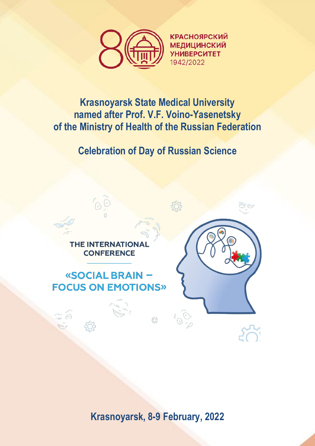

**КРАСНОЯРСКИЙ МЕДИЦИНСКИЙ УНИВЕРСИТЕТ** 1942/2022

## **Krasnoyarsk State Medical University named after Prof. V.F. Voino-Yasenetsky of the Ministry of Health of the Russian Federation**

**Celebration of Day of Russian Science**

**THE INTERNATIONAL CONFERENCE** 

# «SOCIAL BRAIN -**FOCUS ON EMOTIONS»**



**Krasnoyarsk, 8-9 February, 2022**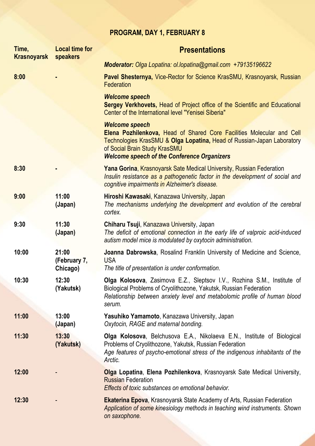## **PROGRAM, DAY 1, FEBRUARY 8**

| Time,<br><b>Krasnoyarsk</b> | <b>Local time for</b><br>speakers | <b>Presentations</b>                                                                                                                                                                                                                                            |
|-----------------------------|-----------------------------------|-----------------------------------------------------------------------------------------------------------------------------------------------------------------------------------------------------------------------------------------------------------------|
|                             |                                   | Moderator: Olga Lopatina: ol.lopatina@gmail.com +79135196622                                                                                                                                                                                                    |
| 8:00                        |                                   | Pavel Shesternya, Vice-Rector for Science KrasSMU, Krasnoyarsk, Russian<br>Federation                                                                                                                                                                           |
|                             |                                   | <b>Welcome speech</b><br>Sergey Verkhovets, Head of Project office of the Scientific and Educational<br>Center of the International level "Yenisei Siberia"                                                                                                     |
|                             |                                   | <b>Welcome speech</b><br>Elena Pozhilenkova, Head of Shared Core Facilities Molecular and Cell<br>Technologies KrasSMU & Olga Lopatina, Head of Russian-Japan Laboratory<br>of Social Brain Study KrasSMU<br><b>Welcome speech of the Conference Organizers</b> |
| 8:30                        |                                   | <b>Yana Gorina, Krasnoyarsk Sate Medical University, Russian Federation</b><br>Insulin resistance as a pathogenetic factor in the development of social and<br>cognitive impairments in Alzheimer's disease.                                                    |
| 9:00                        | 11:00<br>(Japan)                  | Hiroshi Kawasaki, Kanazawa University, Japan<br>The mechanisms underlying the development and evolution of the cerebral<br>cortex.                                                                                                                              |
| 9:30                        | 11:30<br>(Japan)                  | Chiharu Tsuji, Kanazawa University, Japan<br>The deficit of emotional connection in the early life of valproic acid-induced<br>autism model mice is modulated by oxytocin administration.                                                                       |
| 10:00                       | 21:00<br>(February 7,<br>Chicago) | Joanna Dabrowska, Rosalind Franklin University of Medicine and Science,<br><b>USA</b><br>The title of presentation is under conformation.                                                                                                                       |
| 10:30                       | 12:30<br>(Yakutsk)                | <b>Olga Kolosova, Zasimova E.Z., Sleptsov I.V., Rozhina S.M., Institute of</b><br>Biological Problems of Cryolithozone, Yakutsk, Russian Federation<br>Relationship between anxiety level and metabolomic profile of human blood<br>serum.                      |
| 11:00                       | 13:00<br>(Japan)                  | Yasuhiko Yamamoto, Kanazawa University, Japan<br>Oxytocin, RAGE and maternal bonding.                                                                                                                                                                           |
| 11:30                       | 13:30<br>(Yakutsk)                | <b>Olga Kolosova, Belchusova E.A., Nikolaeva E.N., Institute of Biological</b><br>Problems of Cryolithozone, Yakutsk, Russian Federation<br>Age features of psycho-emotional stress of the indigenous inhabitants of the<br>Arctic.                             |
| 12:00                       |                                   | Olga Lopatina, Elena Pozhilenkova, Krasnoyarsk Sate Medical University,<br><b>Russian Federation</b><br><b>Effects of toxic substances on emotional behavior.</b>                                                                                               |
| 12:30                       |                                   | <b>Ekaterina Epova, Krasnoyarsk State Academy of Arts, Russian Federation</b><br>Application of some kinesiology methods in teaching wind instruments. Shown<br>on saxophone.                                                                                   |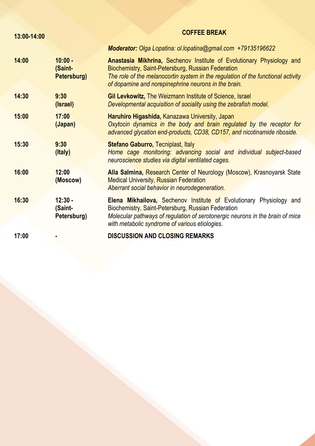| 13:00-14:00 |                                     | <b>COFFEE BREAK</b>                                                                                                                                                                                                                                                     |
|-------------|-------------------------------------|-------------------------------------------------------------------------------------------------------------------------------------------------------------------------------------------------------------------------------------------------------------------------|
|             |                                     | Moderator: Olga Lopatina: ol.lopatina@gmail.com +79135196622                                                                                                                                                                                                            |
| 14:00       | $10:00 -$<br>(Saint-<br>Petersburg) | Anastasia Mikhrina, Sechenov Institute of Evolutionary Physiology and<br>Biochemistry, Saint-Petersburg, Russian Federation<br>The role of the melanocortin system in the regulation of the functional activity<br>of dopamine and norepinephrine neurons in the brain. |
| 14:30       | 9:30<br>(Israel)                    | Gil Levkowitz, The Weizmann Institute of Science, Israel<br>Developmental acquisition of sociality using the zebrafish model.                                                                                                                                           |
| 15:00       | 17:00<br>(Japan)                    | Haruhiro Higashida, Kanazawa University, Japan<br>Oxytocin dynamics in the body and brain regulated by the receptor for<br>advanced glycation end-products, CD38, CD157, and nicotinamide riboside.                                                                     |
| 15:30       | 9:30<br>(Italy)                     | <b>Stefano Gaburro, Tecniplast, Italy</b><br>Home cage monitoring: advancing social and individual subject-based<br>neuroscience studies via digital ventilated cages.                                                                                                  |
| 16:00       | 12:00<br>(Moscow)                   | Alla Salmina, Research Center of Neurology (Moscow), Krasnoyarsk State<br><b>Medical University, Russian Federation</b><br>Aberrant social behavior in neurodegeneration.                                                                                               |
| 16:30       | $12:30 -$<br>(Saint-<br>Petersburg) | <b>Elena Mikhailova, Sechenov Institute of Evolutionary Physiology and</b><br>Biochemistry, Saint-Petersburg, Russian Federation<br>Molecular pathways of regulation of serotonergic neurons in the brain of mice<br>with metabolic syndrome of various etiologies.     |
| 17:00       |                                     | <b>DISCUSSION AND CLOSING REMARKS</b>                                                                                                                                                                                                                                   |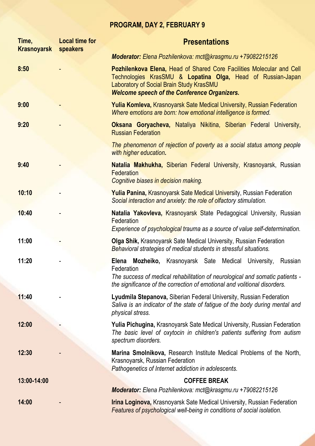### **PROGRAM, DAY 2, FEBRUARY 9**

| Time,<br><b>Krasnoyarsk speakers</b> | <b>Local time for</b> | <b>Presentations</b>                                                                                                                                                                                                                                    |
|--------------------------------------|-----------------------|---------------------------------------------------------------------------------------------------------------------------------------------------------------------------------------------------------------------------------------------------------|
|                                      |                       | Moderator: Elena Pozhilenkova: mct@krasgmu.ru +79082215126                                                                                                                                                                                              |
| 8:50                                 |                       | Pozhilenkova Elena, Head of Shared Core Facilities Molecular and Cell<br>Technologies KrasSMU & Lopatina Olga, Head of Russian-Japan<br>Laboratory of Social Brain Study KrasSMU<br><b>Welcome speech of the Conference Organizers.</b>                 |
| 9:00                                 |                       | <b>Yulia Komleva, Krasnoyarsk Sate Medical University, Russian Federation</b><br>Where emotions are born: how emotional intelligence is formed.                                                                                                         |
| 9:20                                 |                       | <b>Oksana Goryacheva, Nataliya Nikitina, Siberian Federal University,</b><br><b>Russian Federation</b>                                                                                                                                                  |
|                                      |                       | The phenomenon of rejection of poverty as a social status among people<br>with higher education.                                                                                                                                                        |
| 9:40                                 |                       | Natalia Makhukha, Siberian Federal University, Krasnoyarsk, Russian<br>Federation<br>Cognitive biases in decision making.                                                                                                                               |
| 10:10                                |                       | <b>Yulia Panina, Krasnoyarsk Sate Medical University, Russian Federation</b><br>Social interaction and anxiety: the role of olfactory stimulation.                                                                                                      |
| 10:40                                |                       | Natalia Yakovleva, Krasnoyarsk State Pedagogical University, Russian<br>Federation<br>Experience of psychological trauma as a source of value self-determination.                                                                                       |
| 11:00                                |                       | <b>Olga Shik, Krasnoyarsk Sate Medical University, Russian Federation</b><br>Behavioral strategies of medical students in stressful situations.                                                                                                         |
| 11:20                                |                       | <b>Elena</b><br>Mozheiko, Krasnoyarsk Sate Medical<br>University,<br>Russian<br>Federation<br>The success of medical rehabilitation of neurological and somatic patients -<br>the significance of the correction of emotional and volitional disorders. |
| 11:40                                |                       | Lyudmila Stepanova, Siberian Federal University, Russian Federation<br>Saliva is an indicator of the state of fatigue of the body during mental and<br>physical stress.                                                                                 |
| 12:00                                |                       | <b>Yulia Pichugina, Krasnoyarsk Sate Medical University, Russian Federation</b><br>The basic level of oxytocin in children's patients suffering from autism<br>spectrum disorders.                                                                      |
| 12:30                                |                       | Marina Smolnikova, Research Institute Medical Problems of the North,<br>Krasnoyarsk, Russian Federation<br>Pathogenetics of Internet addiction in adolescents.                                                                                          |
| 13:00-14:00                          |                       | <b>COFFEE BREAK</b>                                                                                                                                                                                                                                     |
|                                      |                       | Moderator: Elena Pozhilenkova: mct@krasgmu.ru +79082215126                                                                                                                                                                                              |
| 14:00                                |                       | <b>Irina Loginova, Krasnoyarsk Sate Medical University, Russian Federation</b><br><b>Features of psychological well-being in conditions of social isolation.</b>                                                                                        |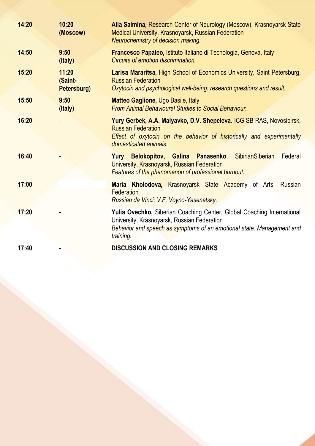| 14:20 | 10:20<br>(Moscow)               | Alla Salmina, Research Center of Neurology (Moscow), Krasnoyarsk State<br>Medical University, Krasnoyarsk, Russian Federation<br>Neurochemistry of decision making.                                         |
|-------|---------------------------------|-------------------------------------------------------------------------------------------------------------------------------------------------------------------------------------------------------------|
| 14:50 | 9:50<br>(Italy)                 | Francesco Papaleo, Istituto Italiano di Tecnologia, Genova, Italy<br>Circuits of emotion discrimination.                                                                                                    |
| 15:20 | 11:20<br>(Saint-<br>Petersburg) | Larisa Mararitsa, High School of Economics University, Saint Petersburg,<br><b>Russian Federation</b><br>Oxytocin and psychological well-being: research questions and result.                              |
| 15:50 | 9:50<br>(Italy)                 | <b>Matteo Gaglione, Ugo Basile, Italy</b><br><b>From Animal Behavioural Studies to Social Behaviour.</b>                                                                                                    |
| 16:20 |                                 | Yury Gerbek, A.A. Malyavko, D.V. Shepeleva. ICG SB RAS, Novosibirsk,<br><b>Russian Federation</b><br>Effect of oxytocin on the behavior of historically and experimentally<br>domesticated animals.         |
| 16:40 |                                 | Yury Belokopitov, Galina Panasenko, SibirianSiberian<br>Federal<br>University, Krasnoyarsk, Russian Federation<br>Features of the phenomenon of professional burnout.                                       |
| 17:00 |                                 | Maria Kholodova, Krasnoyarsk State Academy of Arts, Russian<br>Federation<br>Russian da Vinci: V.F. Voyno-Yasenetsky.                                                                                       |
| 17:20 |                                 | Yulia Ovechko, Siberian Coaching Center, Global Coaching International<br>University, Krasnoyarsk, Russian Federation<br>Behavior and speech as symptoms of an emotional state. Management and<br>training. |
| 17:40 |                                 | <b>DISCUSSION AND CLOSING REMARKS</b>                                                                                                                                                                       |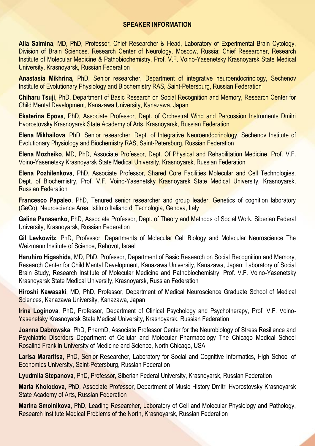#### **SPEAKER INFORMATION**

**Alla Salmina**, MD, PhD, Professor, Chief Researcher & Head, Laboratory of Experimental Brain Cytology, Division of Brain Sciences, Research Center of Neurology, Moscow, Russia; Chief Researcher, Research Institute of Molecular Medicine & Pathobiochemistry, Prof. V.F. Voino-Yasenetsky Krasnoyarsk State Medical University, Krasnoyarsk, Russian Federation

**Anastasia Mikhrina,** PhD, Senior researcher, Department of integrative neuroendocrinology, Sechenov Institute of Evolutionary Physiology and Biochemistry RAS, Saint-Petersburg, Russian Federation

**Chiharu Tsuji**, PhD, Department of Basic Research on Social Recognition and Memory, Research Center for Child Mental Development, Kanazawa University, Kanazawa, Japan

**Ekaterina Epova**, PhD, Associate Professor, Dept. of Orchestral Wind and Percussion Instruments Dmitri Hvorostovsky Krasnoyarsk State Academy of Arts, Krasnoyarsk, Russian Federation

**Elena Mikhailova**, PhD, Senior researcher, Dept. of Integrative Neuroendocrinology, Sechenov Institute of Evolutionary Physiology and Biochemistry RAS, Saint-Petersburg, Russian Federation

**Elena Mozheiko**, MD, PhD, Associate Professor, Dept. Of Physical and Rehabilitation Medicine, Prof. V.F. Voino-Yasenetsky Krasnoyarsk State Medical University, Krasnoyarsk, Russian Federation

**Elena Pozhilenkova**, PhD, Associate Professor, Shared Core Facilities Molecular and Cell Technologies, Dept. of Biochemistry, Prof. V.F. Voino-Yasenetsky Krasnoyarsk State Medical University, Krasnoyarsk, Russian Federation

**Francesco Papaleo**, PhD, Tenured senior researcher and group leader, Genetics of cognition laboratory (GeCo), Neuroscience Area, Istituto Italiano di Tecnologia, Genova, Italy

**Galina Panasenko**, PhD, Associate Professor, Dept. of Theory and Methods of Social Work, Siberian Federal University, Krasnoyarsk, Russian Federation

**Gil Levkowitz**, PhD, Professor, Departments of Molecular Cell Biology and Molecular Neuroscience The Weizmann Institute of Science, Rehovot, Israel

**Haruhiro Higashida**, MD, PhD, Professor, Department of Basic Research on Social Recognition and Memory, Research Center for Child Mental Development, Kanazawa University, Kanazawa, Japan; Laboratory of Social Brain Study, Research Institute of Molecular Medicine and Pathobiochemistry, Prof. V.F. Voino-Yasenetsky Krasnoyarsk State Medical University, Krasnoyarsk, Russian Federation

**Hiroshi Kawasaki**, MD, PhD, Professor, Department of Medical Neuroscience Graduate School of Medical Sciences, Kanazawa University, Kanazawa, Japan

**Irina Loginova**, PhD, Professor, Department of Clinical Psychology and Psychotherapy, Prof. V.F. Voino-Yasenetsky Krasnoyarsk State Medical University, Krasnoyarsk, Russian Federation

**Joanna Dabrowska**, PhD, PharmD, Associate Professor Center for the Neurobiology of Stress Resilience and Psychiatric Disorders Department of Cellular and Molecular Pharmacology The Chicago Medical School Rosalind Franklin University of Medicine and Science, North Chicago, USA

**Larisa Mararitsa**, PhD, Senior Researcher, Laboratory for Social and Cognitive Informatics, High School of Economics University, Saint-Petersburg, Russian Federation

**Lyudmila Stepanova**, PhD, Professor, Siberian Federal University, Krasnoyarsk, Russian Federation

**Maria Kholodova**, PhD, Associate Professor, Department of Music History Dmitri Hvorostovsky Krasnoyarsk State Academy of Arts, Russian Federation

**Marina Smolnikova**, PhD, Leading Researcher, Laboratory of Cell and Molecular Physiology and Pathology, Research Institute Medical Problems of the North, Krasnoyarsk, Russian Federation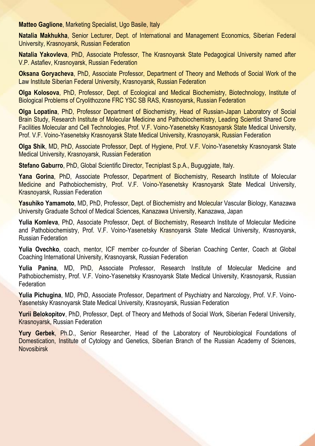**Matteo Gaglione**, Marketing Specialist, Ugo Basile, Italy

**Natalia Makhukha**, Senior Lecturer, Dept. of International and Management Economics, Siberian Federal University, Krasnoyarsk, Russian Federation

**Natalia Yakovleva**, PhD, Associate Professor, The Krasnoyarsk State Pedagogical University named after V.P. Astafiev, Krasnoyarsk, Russian Federation

**Oksana Goryacheva**, PhD, Associate Professor, Department of Theory and Methods of Social Work of the Law Institute Siberian Federal University, Krasnoyarsk, Russian Federation

**Olga Kolosova**, PhD, Professor, Dept. of Ecological and Medical Biochemistry, Biotechnology, Institute of Biological Problems of Cryolithozone FRC YSC SB RAS, Krasnoyarsk, Russian Federation

**Olga Lopatina**, PhD, Professor Department of Biochemistry, Head of Russian-Japan Laboratory of Social Brain Study, Research Institute of Molecular Medicine and Pathobiochemistry, Leading Scientist Shared Core Facilities Molecular and Cell Technologies, Prof. V.F. Voino-Yasenetsky Krasnoyarsk State Medical University, Prof. V.F. Voino-Yasenetsky Krasnoyarsk State Medical University, Krasnoyarsk, Russian Federation

**Olga Shik**, MD, PhD, Associate Professor, Dept. of Hygiene, Prof. V.F. Voino-Yasenetsky Krasnoyarsk State Medical University, Krasnoyarsk, Russian Federation

**Stefano Gaburro**, PhD, Global Scientific Director, Tecniplast S.p.A., Buguggiate, Italy.

**Yana Gorina**, PhD, Associate Professor, Department of Biochemistry, Research Institute of Molecular Medicine and Pathobiochemistry, Prof. V.F. Voino-Yasenetsky Krasnoyarsk State Medical University, Krasnoyarsk, Russian Federation

**Yasuhiko Yamamoto**, MD, PhD, Professor, Dept. of Biochemistry and Molecular Vascular Biology, Kanazawa University Graduate School of Medical Sciences, Kanazawa University, Kanazawa, Japan

Yulia Komleva, PhD, Associate Professor, Dept. of Biochemistry, Research Institute of Molecular Medicine and Pathobiochemistry, Prof. V.F. Voino-Yasenetsky Krasnoyarsk State Medical University, Krasnoyarsk, Russian Federation

**Yulia Ovechko**, coach, mentor, ICF member co-founder of Siberian Coaching Center, Coach at Global Coaching International University, Krasnoyarsk, Russian Federation

**Yulia Panina**, MD, PhD, Associate Professor, Research Institute of Molecular Medicine and Pathobiochemistry, Prof. V.F. Voino-Yasenetsky Krasnoyarsk State Medical University, Krasnoyarsk, Russian Federation

**Yulia Pichugina**, MD, PhD, Associate Professor, Department of Psychiatry and Narcology, Prof. V.F. Voino-Yasenetsky Krasnoyarsk State Medical University, Krasnoyarsk, Russian Federation

**Yurii Belokopitov**, PhD, Professor, Dept. of Theory and Methods of Social Work, Siberian Federal University, Krasnoyarsk, Russian Federation

**Yury Gerbek**, Ph.D., Senior Researcher, Head of the Laboratory of Neurobiological Foundations of Domestication, Institute of Cytology and Genetics, Siberian Branch of the Russian Academy of Sciences, Novosibirsk